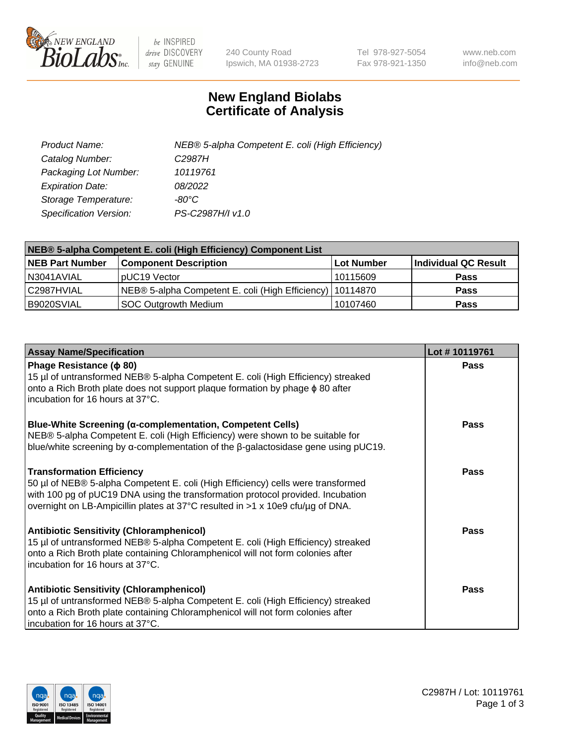

 $be$  INSPIRED drive DISCOVERY stay GENUINE

240 County Road Ipswich, MA 01938-2723 Tel 978-927-5054 Fax 978-921-1350 www.neb.com info@neb.com

## **New England Biolabs Certificate of Analysis**

| Product Name:           | NEB® 5-alpha Competent E. coli (High Efficiency) |
|-------------------------|--------------------------------------------------|
| Catalog Number:         | C <sub>2987</sub> H                              |
| Packaging Lot Number:   | 10119761                                         |
| <b>Expiration Date:</b> | 08/2022                                          |
| Storage Temperature:    | -80°C                                            |
| Specification Version:  | PS-C2987H/I v1.0                                 |

| NEB® 5-alpha Competent E. coli (High Efficiency) Component List |                                                             |                   |                      |  |
|-----------------------------------------------------------------|-------------------------------------------------------------|-------------------|----------------------|--|
| <b>NEB Part Number</b>                                          | <b>Component Description</b>                                | <b>Lot Number</b> | Individual QC Result |  |
| N3041AVIAL                                                      | pUC19 Vector                                                | 10115609          | <b>Pass</b>          |  |
| C2987HVIAL                                                      | NEB® 5-alpha Competent E. coli (High Efficiency)   10114870 |                   | <b>Pass</b>          |  |
| B9020SVIAL                                                      | <b>SOC Outgrowth Medium</b>                                 | 10107460          | <b>Pass</b>          |  |

| <b>Assay Name/Specification</b>                                                                                                                                                                                                                                                           | Lot #10119761 |
|-------------------------------------------------------------------------------------------------------------------------------------------------------------------------------------------------------------------------------------------------------------------------------------------|---------------|
| Phage Resistance ( $\phi$ 80)<br>15 µl of untransformed NEB® 5-alpha Competent E. coli (High Efficiency) streaked<br>onto a Rich Broth plate does not support plaque formation by phage φ 80 after<br>incubation for 16 hours at 37°C.                                                    | Pass          |
| <b>Blue-White Screening (α-complementation, Competent Cells)</b><br>NEB® 5-alpha Competent E. coli (High Efficiency) were shown to be suitable for<br>blue/white screening by $\alpha$ -complementation of the $\beta$ -galactosidase gene using pUC19.                                   | Pass          |
| <b>Transformation Efficiency</b><br>50 µl of NEB® 5-alpha Competent E. coli (High Efficiency) cells were transformed<br>with 100 pg of pUC19 DNA using the transformation protocol provided. Incubation<br>overnight on LB-Ampicillin plates at 37°C resulted in >1 x 10e9 cfu/µg of DNA. | Pass          |
| <b>Antibiotic Sensitivity (Chloramphenicol)</b><br>15 µl of untransformed NEB® 5-alpha Competent E. coli (High Efficiency) streaked<br>onto a Rich Broth plate containing Chloramphenicol will not form colonies after<br>incubation for 16 hours at 37°C.                                | Pass          |
| <b>Antibiotic Sensitivity (Chloramphenicol)</b><br>15 µl of untransformed NEB® 5-alpha Competent E. coli (High Efficiency) streaked<br>onto a Rich Broth plate containing Chloramphenicol will not form colonies after<br>incubation for 16 hours at 37°C.                                | Pass          |

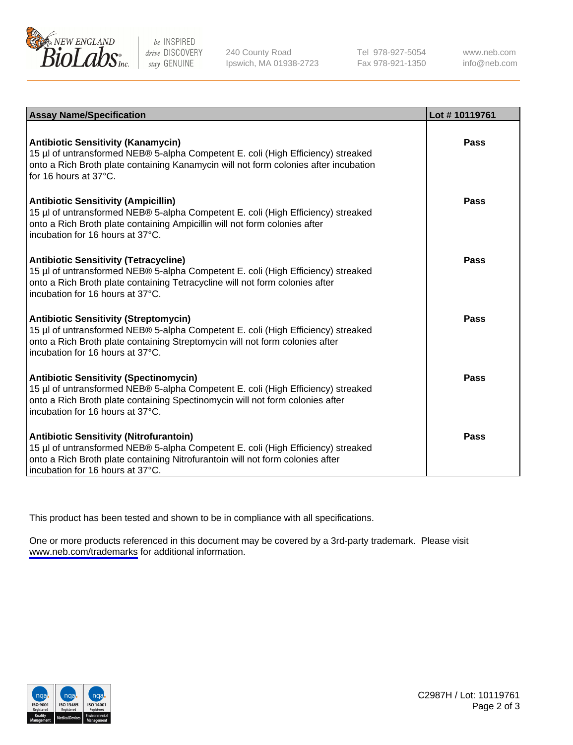

be INSPIRED drive DISCOVERY stay GENUINE

240 County Road Ipswich, MA 01938-2723 Tel 978-927-5054 Fax 978-921-1350

www.neb.com info@neb.com

| <b>Assay Name/Specification</b>                                                                                                                                                                                                                          | Lot #10119761 |
|----------------------------------------------------------------------------------------------------------------------------------------------------------------------------------------------------------------------------------------------------------|---------------|
| <b>Antibiotic Sensitivity (Kanamycin)</b><br>15 µl of untransformed NEB® 5-alpha Competent E. coli (High Efficiency) streaked<br>onto a Rich Broth plate containing Kanamycin will not form colonies after incubation<br>for 16 hours at $37^{\circ}$ C. | Pass          |
| <b>Antibiotic Sensitivity (Ampicillin)</b><br>15 µl of untransformed NEB® 5-alpha Competent E. coli (High Efficiency) streaked<br>onto a Rich Broth plate containing Ampicillin will not form colonies after<br>incubation for 16 hours at 37°C.         | Pass          |
| <b>Antibiotic Sensitivity (Tetracycline)</b><br>15 µl of untransformed NEB® 5-alpha Competent E. coli (High Efficiency) streaked<br>onto a Rich Broth plate containing Tetracycline will not form colonies after<br>incubation for 16 hours at 37°C.     | Pass          |
| <b>Antibiotic Sensitivity (Streptomycin)</b><br>15 µl of untransformed NEB® 5-alpha Competent E. coli (High Efficiency) streaked<br>onto a Rich Broth plate containing Streptomycin will not form colonies after<br>incubation for 16 hours at 37°C.     | Pass          |
| <b>Antibiotic Sensitivity (Spectinomycin)</b><br>15 µl of untransformed NEB® 5-alpha Competent E. coli (High Efficiency) streaked<br>onto a Rich Broth plate containing Spectinomycin will not form colonies after<br>incubation for 16 hours at 37°C.   | <b>Pass</b>   |
| <b>Antibiotic Sensitivity (Nitrofurantoin)</b><br>15 µl of untransformed NEB® 5-alpha Competent E. coli (High Efficiency) streaked<br>onto a Rich Broth plate containing Nitrofurantoin will not form colonies after<br>incubation for 16 hours at 37°C. | <b>Pass</b>   |

This product has been tested and shown to be in compliance with all specifications.

One or more products referenced in this document may be covered by a 3rd-party trademark. Please visit <www.neb.com/trademarks>for additional information.